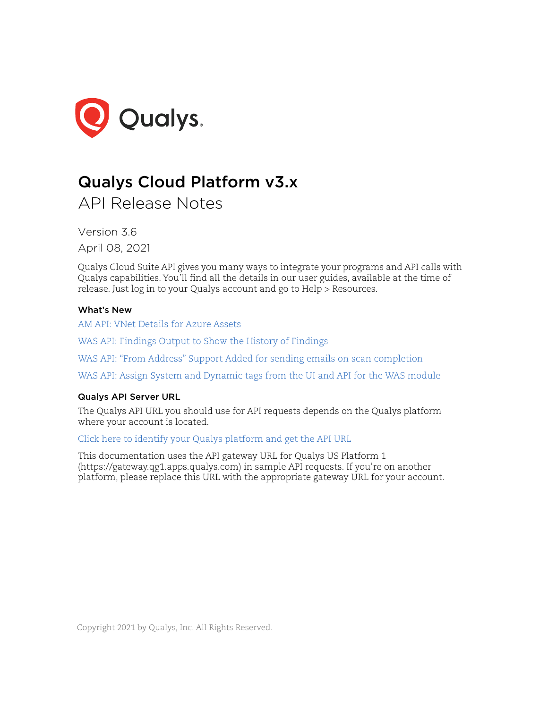

# Qualys Cloud Platform v3.x

API Release Notes

Version 3.6 April 08, 2021

Qualys Cloud Suite API gives you many ways to integrate your programs and API calls with Qualys capabilities. You'll find all the details in our user guides, available at the time of release. Just log in to your Qualys account and go to Help > Resources.

# What's New

[AM API: VNet Details for Azure Assets](#page-1-0)

[WAS API: Findings Output to Show the History of Findings](#page-4-0)

[WAS API: "From Address" Support Added for sending emails on scan completion](#page-8-0)

[WAS API: Assign System and Dynamic tags from the UI and API for the WAS module](#page-12-0)

# Qualys API Server URL

The Qualys API URL you should use for API requests depends on the Qualys platform where your account is located.

[Click here to identify your Qualys platform and get the API URL](https://www.qualys.com/platform-identification/)

This documentation uses the API gateway URL for Qualys US Platform 1 (https://gateway.qg1.apps.qualys.com) in sample API requests. If you're on another platform, please replace this URL with the appropriate gateway URL for your account.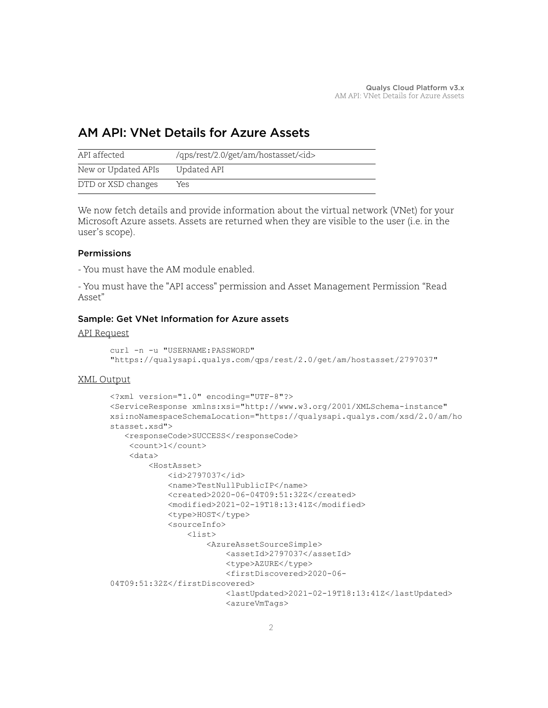# <span id="page-1-0"></span>AM API: VNet Details for Azure Assets

| API affected        | /qps/rest/2.0/get/am/hostasset/ <id></id> |
|---------------------|-------------------------------------------|
| New or Updated APIs | Updated API                               |
| DTD or XSD changes  | Yes                                       |

We now fetch details and provide information about the virtual network (VNet) for your Microsoft Azure assets. Assets are returned when they are visible to the user (i.e. in the user's scope).

# Permissions

- You must have the AM module enabled.

- You must have the "API access" permission and Asset Management Permission "Read Asset"

# Sample: Get VNet Information for Azure assets

API Request

```
curl -n -u "USERNAME: PASSWORD"
"https://qualysapi.qualys.com/qps/rest/2.0/get/am/hostasset/2797037"
```

```
<?xml version="1.0" encoding="UTF-8"?>
<ServiceResponse xmlns:xsi="http://www.w3.org/2001/XMLSchema-instance" 
xsi:noNamespaceSchemaLocation="https://qualysapi.qualys.com/xsd/2.0/am/ho
stasset.xsd">
   <responseCode>SUCCESS</responseCode>
     <count>1</count>
     <data>
         <HostAsset>
             <id>2797037</id>
             <name>TestNullPublicIP</name>
             <created>2020-06-04T09:51:32Z</created>
             <modified>2021-02-19T18:13:41Z</modified>
             <type>HOST</type>
             <sourceInfo>
                 <list>
                      <AzureAssetSourceSimple>
                          <assetId>2797037</assetId>
                          <type>AZURE</type>
                          <firstDiscovered>2020-06-
04T09:51:32Z</firstDiscovered>
                          <lastUpdated>2021-02-19T18:13:41Z</lastUpdated>
                          <azureVmTags>
```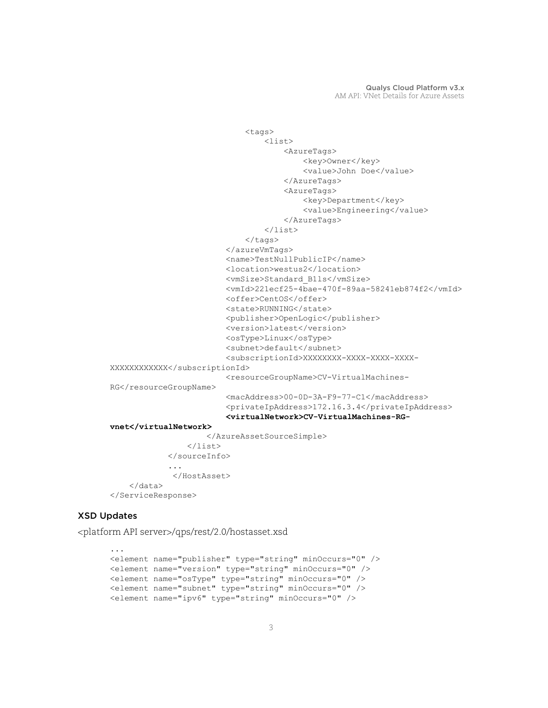```
 <tags>
                                   <list>
                                       <AzureTags>
                                           <key>Owner</key>
                                           <value>John Doe</value>
                                       </AzureTags>
                                       <AzureTags>
                                           <key>Department</key>
                                          <value>Engineering</value>
                                       </AzureTags>
                                   </list>
                              \langletags>
                          </azureVmTags>
                          <name>TestNullPublicIP</name>
                          <location>westus2</location>
                          <vmSize>Standard_B1ls</vmSize>
                          <vmId>221ecf25-4bae-470f-89aa-58241eb874f2</vmId>
                          <offer>CentOS</offer>
                         <state>RUNNING</state>
                          <publisher>OpenLogic</publisher>
                          <version>latest</version>
                          <osType>Linux</osType>
                          <subnet>default</subnet>
                          <subscriptionId>XXXXXXXX-XXXX-XXXX-XXXX-
XXXXXXXXXXXX</subscriptionId>
                          <resourceGroupName>CV-VirtualMachines-
RG</resourceGroupName>
                          <macAddress>00-0D-3A-F9-77-C1</macAddress>
                          <privateIpAddress>172.16.3.4</privateIpAddress>
                          <virtualNetwork>CV-VirtualMachines-RG-
vnet</virtualNetwork>
                      </AzureAssetSourceSimple>
                 \langle/list>
              </sourceInfo>
 ...
              </HostAsset>
     </data>
</ServiceResponse>
```
### XSD Updates

<platform API server>/qps/rest/2.0/hostasset.xsd

```
...
<element name="publisher" type="string" minOccurs="0" />
<element name="version" type="string" minOccurs="0" />
<element name="osType" type="string" minOccurs="0" />
<element name="subnet" type="string" minOccurs="0" />
<element name="ipv6" type="string" minOccurs="0" />
```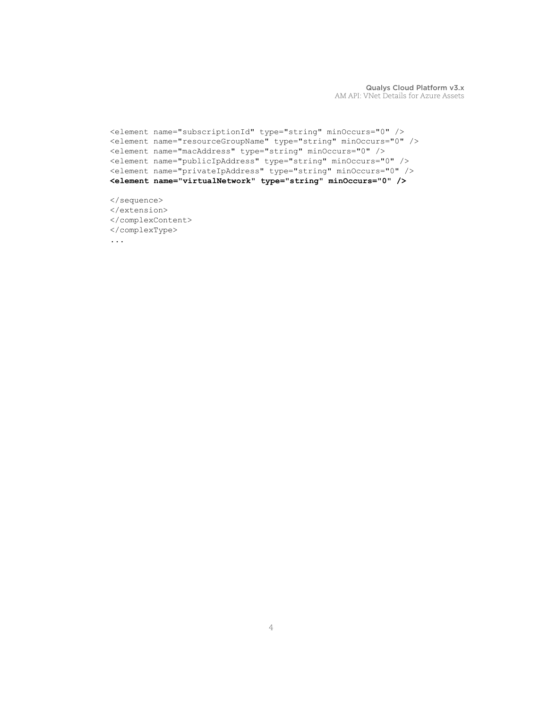```
<element name="subscriptionId" type="string" minOccurs="0" />
<element name="resourceGroupName" type="string" minOccurs="0" />
<element name="macAddress" type="string" minOccurs="0" />
<element name="publicIpAddress" type="string" minOccurs="0" />
<element name="privateIpAddress" type="string" minOccurs="0" />
<element name="virtualNetwork" type="string" minOccurs="0" />
</sequence>
</extension>
</complexContent>
```
</complexType>

...

Qualys Cloud Platform v3.x AM API: VNet Details for Azure Assets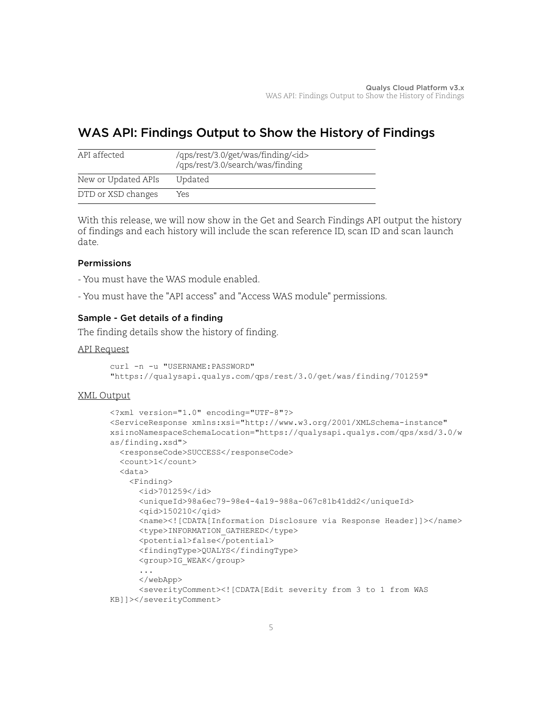# <span id="page-4-0"></span>WAS API: Findings Output to Show the History of Findings

| API affected        | /qps/rest/3.0/get/was/finding/ <id><br/>/qps/rest/3.0/search/was/finding</id> |
|---------------------|-------------------------------------------------------------------------------|
| New or Updated APIs | Updated                                                                       |
| DTD or XSD changes  | Yes                                                                           |

With this release, we will now show in the Get and Search Findings API output the history of findings and each history will include the scan reference ID, scan ID and scan launch date.

### Permissions

- You must have the WAS module enabled.
- You must have the "API access" and "Access WAS module" permissions.

# Sample - Get details of a finding

The finding details show the history of finding.

### API Request

```
curl -n -u "USERNAME:PASSWORD"
"https://qualysapi.qualys.com/qps/rest/3.0/get/was/finding/701259"
```

```
<?xml version="1.0" encoding="UTF-8"?>
<ServiceResponse xmlns:xsi="http://www.w3.org/2001/XMLSchema-instance" 
xsi:noNamespaceSchemaLocation="https://qualysapi.qualys.com/qps/xsd/3.0/w
as/finding.xsd">
   <responseCode>SUCCESS</responseCode>
   <count>1</count>
   <data>
     <Finding>
       <id>701259</id>
       <uniqueId>98a6ec79-98e4-4a19-988a-067c81b41dd2</uniqueId>
       <qid>150210</qid>
       <name><![CDATA[Information Disclosure via Response Header]]></name>
       <type>INFORMATION_GATHERED</type>
       <potential>false</potential>
       <findingType>QUALYS</findingType>
       <group>IG_WEAK</group>
       ...
       </webApp>
       <severityComment><![CDATA[Edit severity from 3 to 1 from WAS 
KB]]></severityComment>
```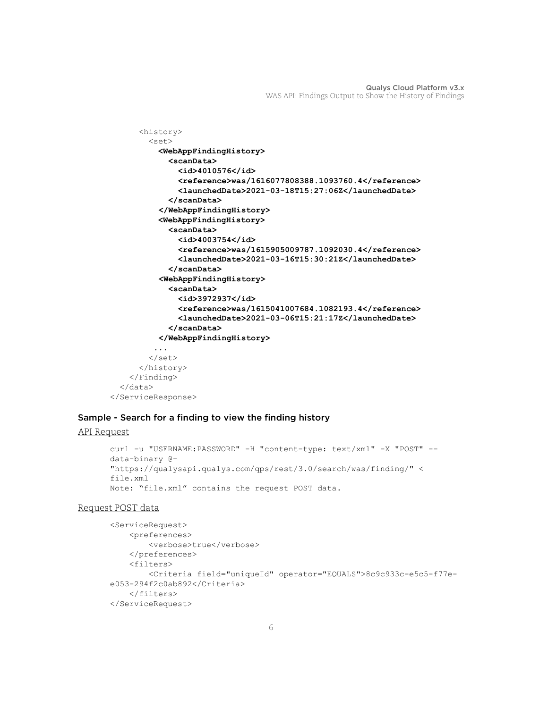```
 <history>
         <set>
           <WebAppFindingHistory>
             <scanData>
               <id>4010576</id>
                <reference>was/1616077808388.1093760.4</reference>
               <launchedDate>2021-03-18T15:27:06Z</launchedDate>
             </scanData>
           </WebAppFindingHistory>
           <WebAppFindingHistory>
             <scanData>
               <id>4003754</id>
                <reference>was/1615905009787.1092030.4</reference>
               <launchedDate>2021-03-16T15:30:21Z</launchedDate>
             </scanData>
           <WebAppFindingHistory>
             <scanData>
               <id>3972937</id>
               <reference>was/1615041007684.1082193.4</reference>
               <launchedDate>2021-03-06T15:21:17Z</launchedDate>
             </scanData>
           </WebAppFindingHistory>
          ...
         </set>
       </history>
     </Finding>
   </data>
</ServiceResponse>
```
### Sample - Search for a finding to view the finding history

#### API Request

```
curl -u "USERNAME:PASSWORD" -H "content-type: text/xml" -X "POST" --
data-binary @-
"https://qualysapi.qualys.com/qps/rest/3.0/search/was/finding/" <
file.xml
Note: "file.xml" contains the request POST data.
```
### Request POST data

```
<ServiceRequest>
     <preferences>
         <verbose>true</verbose>
     </preferences>
     <filters>
         <Criteria field="uniqueId" operator="EQUALS">8c9c933c-e5c5-f77e-
e053-294f2c0ab892</Criteria>
     </filters>
</ServiceRequest>
```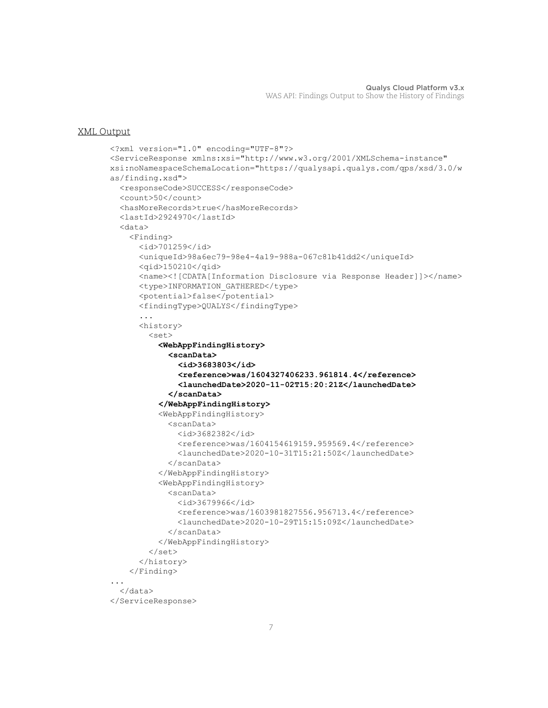```
<?xml version="1.0" encoding="UTF-8"?>
<ServiceResponse xmlns:xsi="http://www.w3.org/2001/XMLSchema-instance" 
xsi:noNamespaceSchemaLocation="https://qualysapi.qualys.com/qps/xsd/3.0/w
as/finding.xsd">
   <responseCode>SUCCESS</responseCode>
   <count>50</count>
   <hasMoreRecords>true</hasMoreRecords>
   <lastId>2924970</lastId>
   <data>
     <Finding>
       <id>701259</id>
       <uniqueId>98a6ec79-98e4-4a19-988a-067c81b41dd2</uniqueId>
       <qid>150210</qid>
       <name><![CDATA[Information Disclosure via Response Header]]></name>
       <type>INFORMATION_GATHERED</type>
       <potential>false</potential>
       <findingType>QUALYS</findingType>
       ...
       <history>
         <set>
           <WebAppFindingHistory>
             <scanData>
               <id>3683803</id>
                <reference>was/1604327406233.961814.4</reference>
                <launchedDate>2020-11-02T15:20:21Z</launchedDate>
             </scanData>
           </WebAppFindingHistory>
           <WebAppFindingHistory>
             <scanData>
               <id>3682382</id>
               <reference>was/1604154619159.959569.4</reference>
               <launchedDate>2020-10-31T15:21:50Z</launchedDate>
             </scanData>
           </WebAppFindingHistory>
           <WebAppFindingHistory>
             <scanData>
               <id>3679966</id>
               <reference>was/1603981827556.956713.4</reference>
               <launchedDate>2020-10-29T15:15:09Z</launchedDate>
             </scanData>
           </WebAppFindingHistory>
         </set>
       </history>
     </Finding>
...
   </data>
</ServiceResponse>
```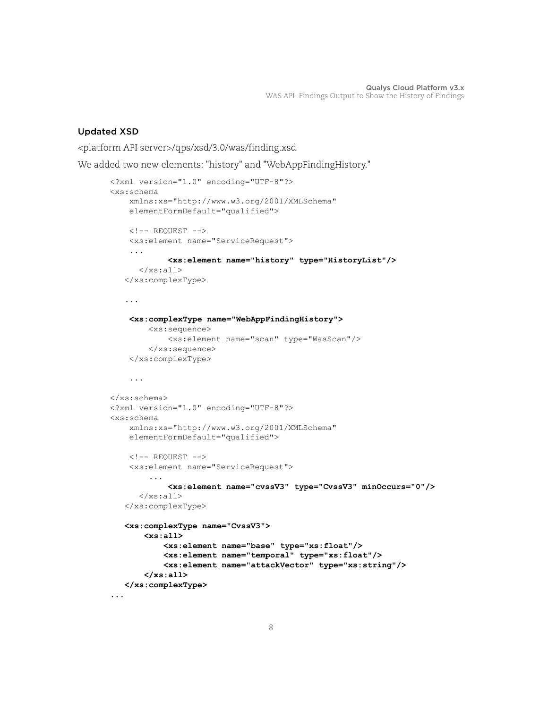## Updated XSD

<platform API server>/qps/xsd/3.0/was/finding.xsd

We added two new elements: "history" and "WebAppFindingHistory."

```
<?xml version="1.0" encoding="UTF-8"?>
<xs:schema 
     xmlns:xs="http://www.w3.org/2001/XMLSchema"
     elementFormDefault="qualified">
     <!-- REQUEST -->
     <xs:element name="ServiceRequest">
     ...
              <xs:element name="history" type="HistoryList"/>
      \langle/xs:all>
    </xs:complexType>
    ...
     <xs:complexType name="WebAppFindingHistory">
         <xs:sequence>
              <xs:element name="scan" type="WasScan"/>
         </xs:sequence>
     </xs:complexType>
     ...
</xs:schema>
<?xml version="1.0" encoding="UTF-8"?>
<xs:schema 
     xmlns:xs="http://www.w3.org/2001/XMLSchema"
     elementFormDefault="qualified">
    \langle!-- REQUEST -->
     <xs:element name="ServiceRequest">
          ...
              <xs:element name="cvssV3" type="CvssV3" minOccurs="0"/>
      \langle x s: a 1 1 \rangle </xs:complexType>
    <xs:complexType name="CvssV3">
        <xs:all>
            <xs:element name="base" type="xs:float"/>
            <xs:element name="temporal" type="xs:float"/>
            <xs:element name="attackVector" type="xs:string"/>
        </xs:all>
    </xs:complexType>
...
```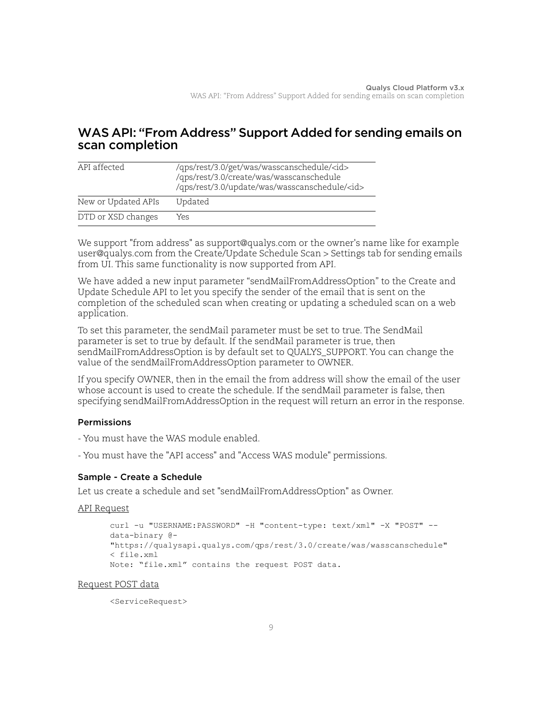# <span id="page-8-0"></span>WAS API: "From Address" Support Added for sending emails on scan completion

| API affected        | /qps/rest/3.0/get/was/wasscanschedule/ <id><br/>/qps/rest/3.0/create/was/wasscanschedule<br/>/qps/rest/3.0/update/was/wasscanschedule/<id></id></id> |
|---------------------|------------------------------------------------------------------------------------------------------------------------------------------------------|
| New or Updated APIs | Updated                                                                                                                                              |
| DTD or XSD changes  | Yes                                                                                                                                                  |

We support "from address" as support@qualys.com or the owner's name like for example user@qualys.com from the Create/Update Schedule Scan > Settings tab for sending emails from UI. This same functionality is now supported from API.

We have added a new input parameter "sendMailFromAddressOption" to the Create and Update Schedule API to let you specify the sender of the email that is sent on the completion of the scheduled scan when creating or updating a scheduled scan on a web application.

To set this parameter, the sendMail parameter must be set to true. The SendMail parameter is set to true by default. If the sendMail parameter is true, then sendMailFromAddressOption is by default set to QUALYS\_SUPPORT. You can change the value of the sendMailFromAddressOption parameter to OWNER.

If you specify OWNER, then in the email the from address will show the email of the user whose account is used to create the schedule. If the sendMail parameter is false, then specifying sendMailFromAddressOption in the request will return an error in the response.

# **Permissions**

- You must have the WAS module enabled.
- You must have the "API access" and "Access WAS module" permissions.

# Sample - Create a Schedule

Let us create a schedule and set "sendMailFromAddressOption" as Owner.

### API Request

```
curl -u "USERNAME:PASSWORD" -H "content-type: text/xml" -X "POST" --
data-binary @-
"https://qualysapi.qualys.com/qps/rest/3.0/create/was/wasscanschedule"
< file.xml
Note: "file.xml" contains the request POST data.
```
### Request POST data

<ServiceRequest>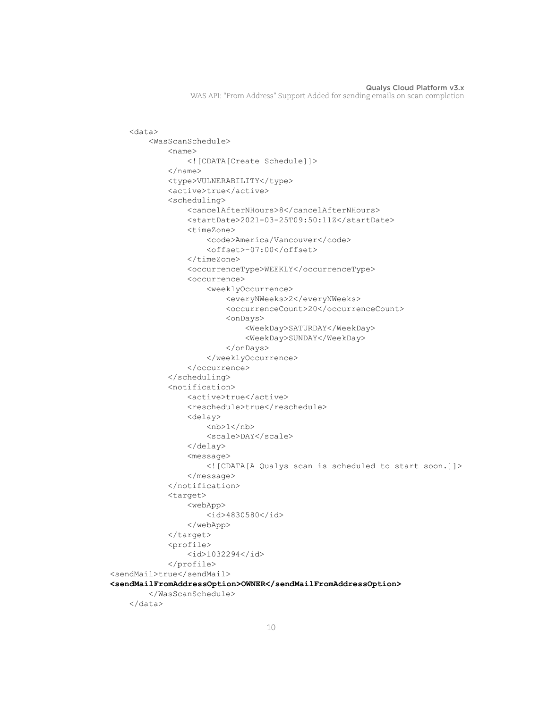```
 <data>
         <WasScanSchedule>
             <name> <![CDATA[Create Schedule]]>
             \langle/name\rangle <type>VULNERABILITY</type>
              <active>true</active>
              <scheduling>
                  <cancelAfterNHours>8</cancelAfterNHours>
                  <startDate>2021-03-25T09:50:11Z</startDate>
                  <timeZone>
                      <code>America/Vancouver</code>
                      <offset>-07:00</offset>
                  </timeZone>
                  <occurrenceType>WEEKLY</occurrenceType>
                  <occurrence>
                      <weeklyOccurrence>
                          <everyNWeeks>2</everyNWeeks>
                          <occurrenceCount>20</occurrenceCount>
                          <onDays>
                               <WeekDay>SATURDAY</WeekDay>
                               <WeekDay>SUNDAY</WeekDay>
                          </onDays>
                      </weeklyOccurrence>
                  </occurrence>
              </scheduling>
              <notification>
                  <active>true</active>
                 <reschedule>true</reschedule>
                  <delay>

                      <scale>DAY</scale>
                  </delay>
                  <message>
                      <![CDATA[A Qualys scan is scheduled to start soon.]]>
                  </message>
             </notification>
              <target>
                  <webApp>
                      <id>4830580</id>
                  </webApp>
              </target>
              <profile>
                  <id>1032294</id>
              </profile>
<sendMail>true</sendMail>
<sendMailFromAddressOption>OWNER</sendMailFromAddressOption>
         </WasScanSchedule>
     </data>
```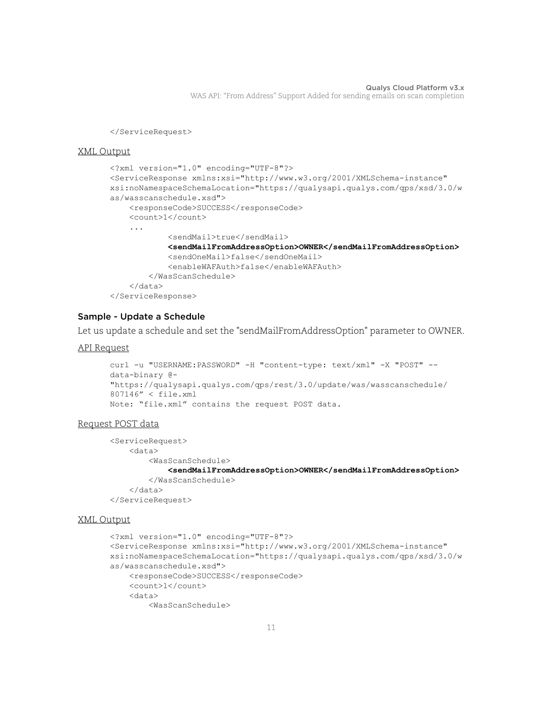</ServiceRequest>

### XML Output

```
<?xml version="1.0" encoding="UTF-8"?>
<ServiceResponse xmlns:xsi="http://www.w3.org/2001/XMLSchema-instance" 
xsi:noNamespaceSchemaLocation="https://qualysapi.qualys.com/qps/xsd/3.0/w
as/wasscanschedule.xsd">
     <responseCode>SUCCESS</responseCode>
     <count>1</count>
     ...
             <sendMail>true</sendMail>
             <sendMailFromAddressOption>OWNER</sendMailFromAddressOption>
             <sendOneMail>false</sendOneMail>
             <enableWAFAuth>false</enableWAFAuth>
         </WasScanSchedule>
     </data>
</ServiceResponse>
```
### Sample - Update a Schedule

Let us update a schedule and set the "sendMailFromAddressOption" parameter to OWNER.

### API Request

```
curl -u "USERNAME: PASSWORD" -H "content-type: text/xml" -X "POST" --
data-binary @-
"https://qualysapi.qualys.com/qps/rest/3.0/update/was/wasscanschedule/
807146" < file.xml
Note: "file.xml" contains the request POST data.
```
### Request POST data

```
<ServiceRequest>
     <data>
         <WasScanSchedule>
             <sendMailFromAddressOption>OWNER</sendMailFromAddressOption>
         </WasScanSchedule>
     </data>
```
</ServiceRequest>

```
<?xml version="1.0" encoding="UTF-8"?>
<ServiceResponse xmlns:xsi="http://www.w3.org/2001/XMLSchema-instance" 
xsi:noNamespaceSchemaLocation="https://qualysapi.qualys.com/qps/xsd/3.0/w
as/wasscanschedule.xsd">
     <responseCode>SUCCESS</responseCode>
     <count>1</count>
     <data>
         <WasScanSchedule>
```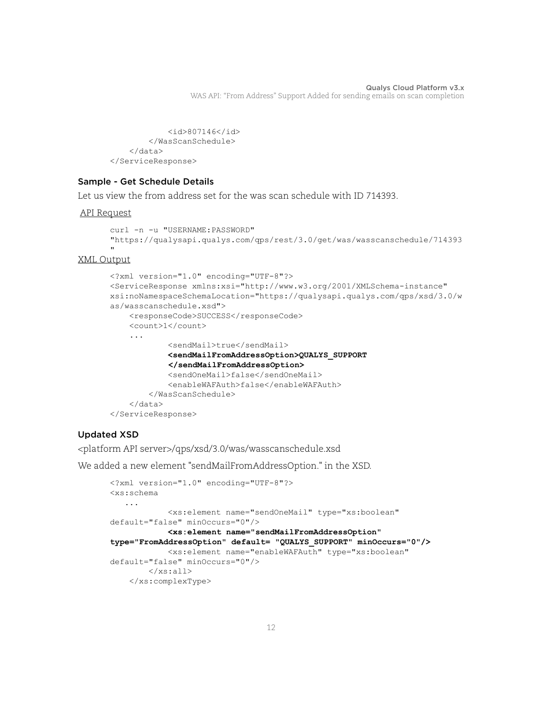```
 <id>807146</id>
         </WasScanSchedule>
     </data>
</ServiceResponse>
```
## Sample - Get Schedule Details

Let us view the from address set for the was scan schedule with ID 714393.

### API Request

```
curl -n -u "USERNAME:PASSWORD"
"https://qualysapi.qualys.com/qps/rest/3.0/get/was/wasscanschedule/714393
"
```
### XML Output

```
<?xml version="1.0" encoding="UTF-8"?>
<ServiceResponse xmlns:xsi="http://www.w3.org/2001/XMLSchema-instance" 
xsi:noNamespaceSchemaLocation="https://qualysapi.qualys.com/qps/xsd/3.0/w
as/wasscanschedule.xsd">
     <responseCode>SUCCESS</responseCode>
     <count>1</count>
     ...
             <sendMail>true</sendMail>
             <sendMailFromAddressOption>QUALYS_SUPPORT
             </sendMailFromAddressOption>
             <sendOneMail>false</sendOneMail>
             <enableWAFAuth>false</enableWAFAuth>
         </WasScanSchedule>
     </data>
</ServiceResponse>
```
# Updated XSD

<platform API server>/qps/xsd/3.0/was/wasscanschedule.xsd

We added a new element "sendMailFromAddressOption." in the XSD.

```
<?xml version="1.0" encoding="UTF-8"?>
<xs:schema
    ...
              <xs:element name="sendOneMail" type="xs:boolean" 
default="false" minOccurs="0"/>
              <xs:element name="sendMailFromAddressOption" 
type="FromAddressOption" default= "QUALYS_SUPPORT" minOccurs="0"/>
              <xs:element name="enableWAFAuth" type="xs:boolean" 
default="false" minOccurs="0"/>
        \langle xs: \text{all}\rangle </xs:complexType>
```